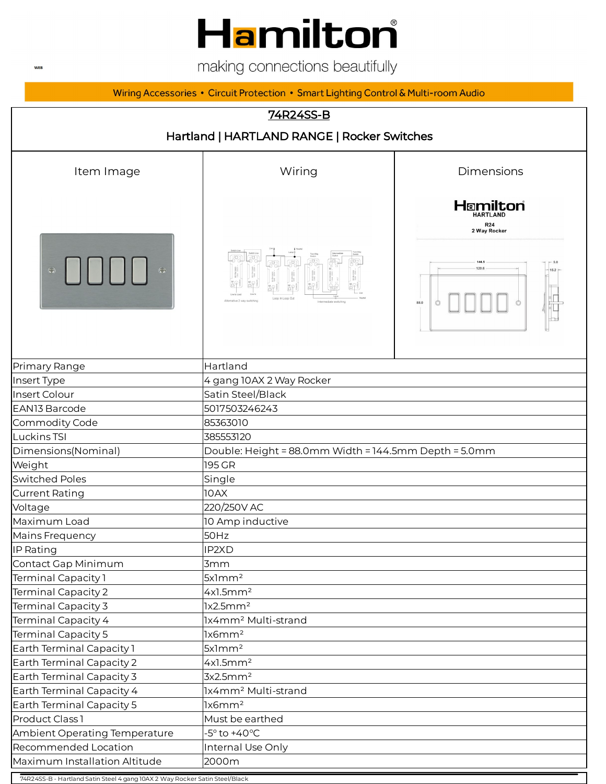# Hamilton®

making connections beautifully

Wiring Accessories • Circuit Protection • Smart Lighting Control & Multi-room Audio

#### 74R24SS-B



74R24SS-B - Hartland Satin Steel 4 gang 10AX 2 Way Rocker Satin Steel/Black

**WEB**